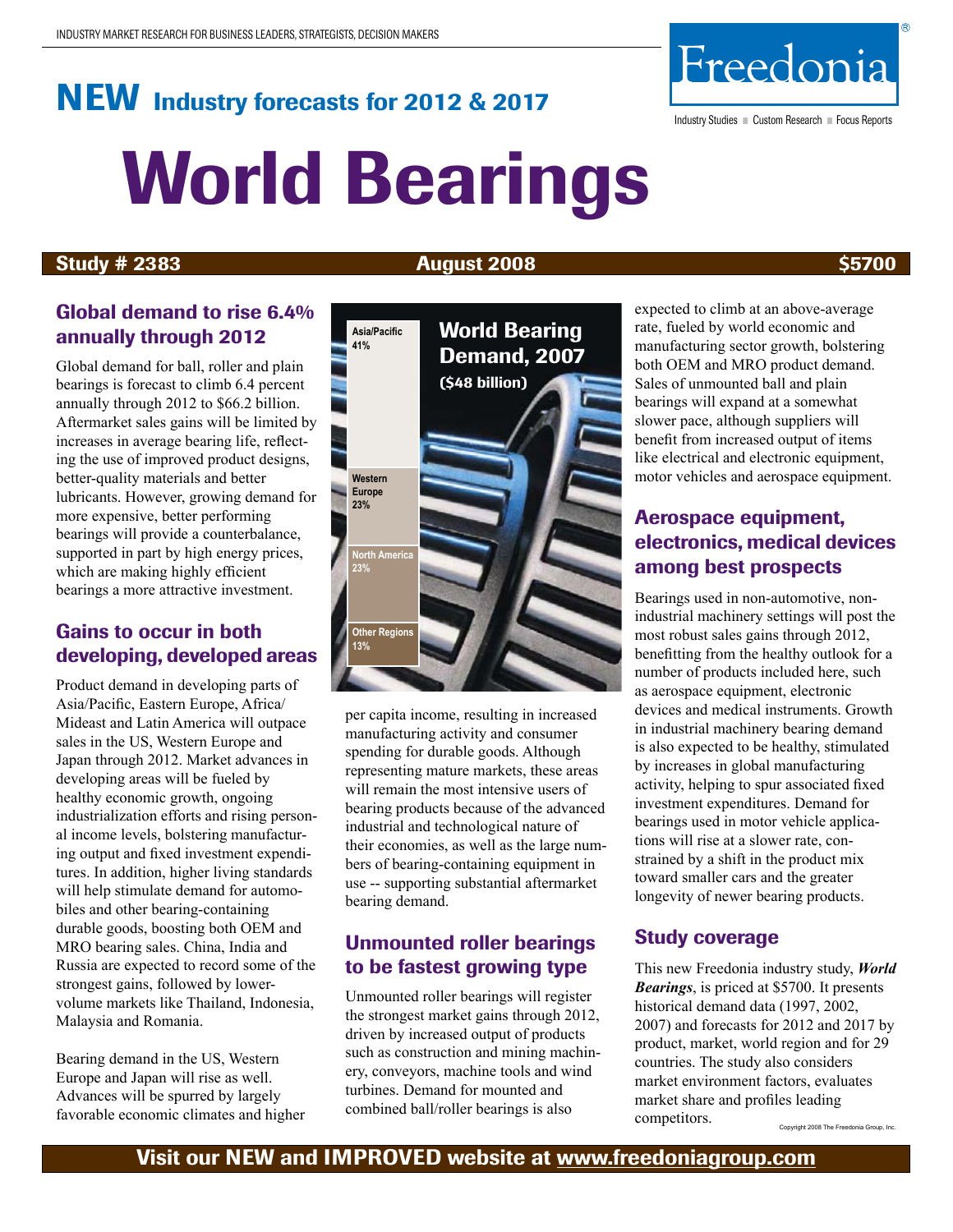# NEW Industry forecasts for 2012 & 2017 World Bearings

## Study # 2383 **August 2008 August 2008** \$5700

## Global demand to rise 6.4% annually through 2012

Global demand for ball, roller and plain bearings is forecast to climb 6.4 percent annually through 2012 to \$66.2 billion. Aftermarket sales gains will be limited by increases in average bearing life, reflecting the use of improved product designs, better-quality materials and better lubricants. However, growing demand for more expensive, better performing bearings will provide a counterbalance, supported in part by high energy prices, which are making highly efficient bearings a more attractive investment.

## Gains to occur in both developing, developed areas

Product demand in developing parts of Asia/Pacific, Eastern Europe, Africa/ Mideast and Latin America will outpace sales in the US, Western Europe and Japan through 2012. Market advances in developing areas will be fueled by healthy economic growth, ongoing industrialization efforts and rising personal income levels, bolstering manufacturing output and fixed investment expenditures. In addition, higher living standards will help stimulate demand for automobiles and other bearing-containing durable goods, boosting both OEM and MRO bearing sales. China, India and Russia are expected to record some of the strongest gains, followed by lowervolume markets like Thailand, Indonesia, Malaysia and Romania.

Bearing demand in the US, Western Europe and Japan will rise as well. Advances will be spurred by largely favorable economic climates and higher

## **Other Regions 13%** per capita income, resulting in increased manufacturing activity and consumer spending for durable goods. Although representing mature markets, these areas will remain the most intensive users of bearing products because of the advanced industrial and technological nature of their economies, as well as the large numbers of bearing-containing equipment in use -- supporting substantial aftermarket bearing demand.

## Unmounted roller bearings to be fastest growing type

Unmounted roller bearings will register the strongest market gains through 2012, driven by increased output of products such as construction and mining machinery, conveyors, machine tools and wind turbines. Demand for mounted and combined ball/roller bearings is also

expected to climb at an above-average rate, fueled by world economic and manufacturing sector growth, bolstering both OEM and MRO product demand. Sales of unmounted ball and plain bearings will expand at a somewhat slower pace, although suppliers will benefit from increased output of items like electrical and electronic equipment, motor vehicles and aerospace equipment.

## Aerospace equipment, electronics, medical devices among best prospects

Bearings used in non-automotive, nonindustrial machinery settings will post the most robust sales gains through 2012, benefitting from the healthy outlook for a number of products included here, such as aerospace equipment, electronic devices and medical instruments. Growth in industrial machinery bearing demand is also expected to be healthy, stimulated by increases in global manufacturing activity, helping to spur associated fixed investment expenditures. Demand for bearings used in motor vehicle applications will rise at a slower rate, constrained by a shift in the product mix toward smaller cars and the greater longevity of newer bearing products.

## Study coverage

This new Freedonia industry study, *World Bearings*, is priced at \$5700. It presents historical demand data (1997, 2002, 2007) and forecasts for 2012 and 2017 by product, market, world region and for 29 countries. The study also considers market environment factors, evaluates market share and profiles leading competitors. Copyright 2008 The Freedonia Group, Inc.





Industry Studies ■ Custom Research ■ Focus Reports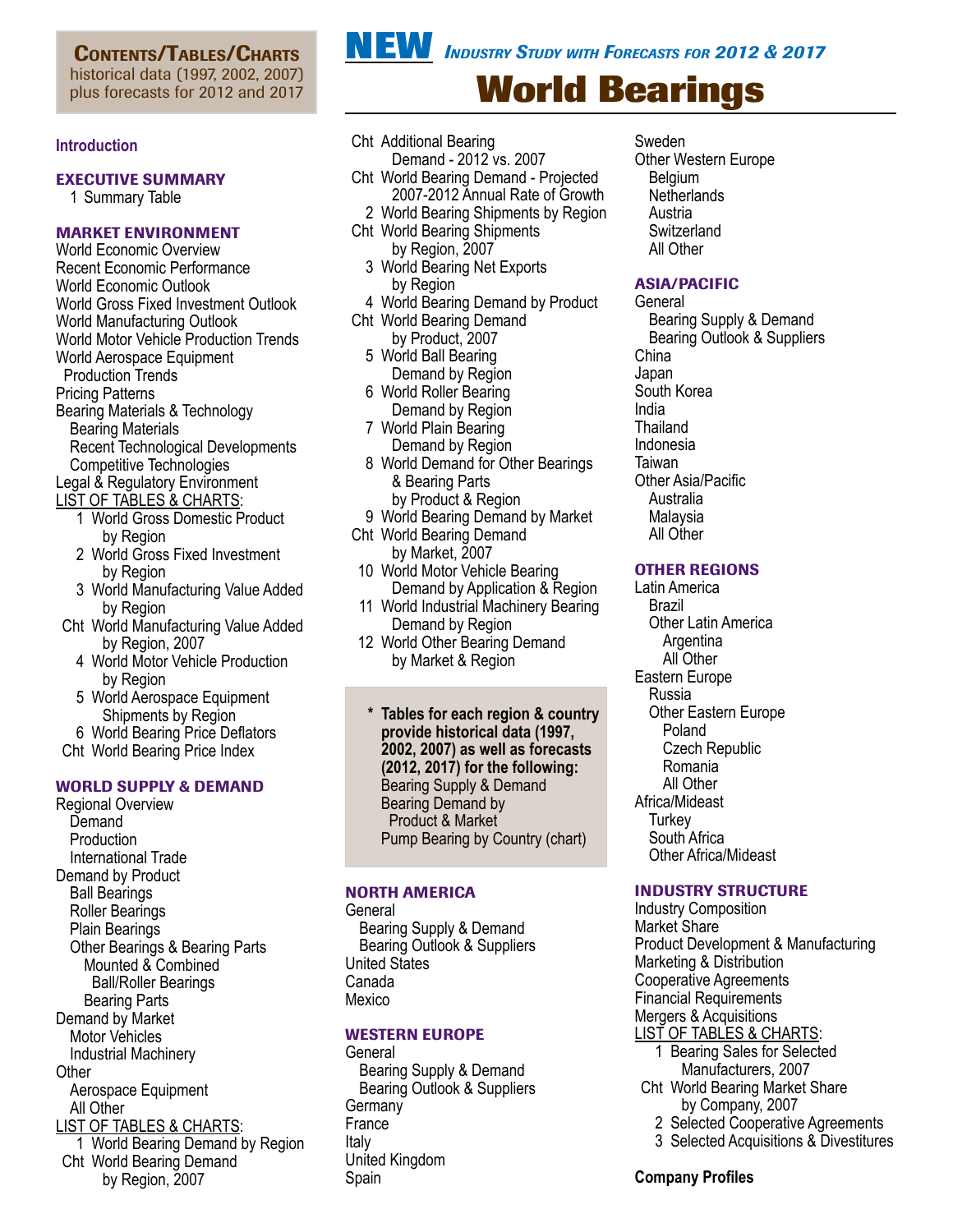CONTENTS/TABLES/CHARTS historical data (1997, 2002, 2007) plus forecasts for 2012 and 2017

## **Introduction**

## Executive Summary

1 Summary Table

## Market Environment

World Economic Overview Recent Economic Performance World Economic Outlook World Gross Fixed Investment Outlook World Manufacturing Outlook World Motor Vehicle Production Trends World Aerospace Equipment Production Trends Pricing Patterns Bearing Materials & Technology Bearing Materials Recent Technological Developments Competitive Technologies Legal & Regulatory Environment

- LIST OF TABLES & CHARTS:
	- 1 World Gross Domestic Product by Region
	- 2 World Gross Fixed Investment by Region
	- 3 World Manufacturing Value Added by Region
- Cht World Manufacturing Value Added by Region, 2007
	- 4 World Motor Vehicle Production by Region
	- 5 World Aerospace Equipment Shipments by Region
- 6 World Bearing Price Deflators
- Cht World Bearing Price Index

## WORLD SUPPLY & DEMAND

Regional Overview **Demand**  Production International Trade Demand by Product Ball Bearings Roller Bearings Plain Bearings Other Bearings & Bearing Parts Mounted & Combined Ball/Roller Bearings Bearing Parts Demand by Market Motor Vehicles Industrial Machinery **Other**  Aerospace Equipment All Other LIST OF TABLES & CHARTS: 1 World Bearing Demand by Region Cht World Bearing Demand by Region, 2007

- Cht Additional Bearing Demand - 2012 vs. 2007
- Cht World Bearing Demand Projected 2007-2012 Annual Rate of Growth
- 2 World Bearing Shipments by Region
- Cht World Bearing Shipments by Region, 2007
	- 3 World Bearing Net Exports by Region
- 4 World Bearing Demand by Product
- Cht World Bearing Demand by Product, 2007
	- 5 World Ball Bearing Demand by Region
- 6 World Roller Bearing Demand by Region
- 7 World Plain Bearing Demand by Region
- 8 World Demand for Other Bearings & Bearing Parts by Product & Region
- 9 World Bearing Demand by Market
- Cht World Bearing Demand
	- by Market, 2007
- 10 World Motor Vehicle Bearing Demand by Application & Region
- 11 World Industrial Machinery Bearing Demand by Region
- 12 World Other Bearing Demand by Market & Region

**\* Tables for each region & country provide historical data (1997, 2002, 2007) as well as forecasts (2012, 2017) for the following:** Bearing Supply & Demand Bearing Demand by Product & Market Pump Bearing by Country (chart)

## NORTH AMERICA

General Bearing Supply & Demand Bearing Outlook & Suppliers United States Canada Mexico

## WESTERN EUROPE

General Bearing Supply & Demand Bearing Outlook & Suppliers **Germany France** Italy United Kingdom Spain

Sweden Other Western Europe Belgium **Netherlands**  Austria **Switzerland**  All Other

## ASIA/PACIFIC

**General**  Bearing Supply & Demand Bearing Outlook & Suppliers China Japan South Korea India **Thailand** Indonesia Taiwan Other Asia/Pacific Australia Malaysia All Other

## OTHER REGIONS

Latin America Brazil Other Latin America **Argentina**  All Other Eastern Europe Russia Other Eastern Europe Poland Czech Republic Romania All Other Africa/Mideast **Turkey**  South Africa Other Africa/Mideast

## INDUSTRY STRUCTURE

Industry Composition Market Share Product Development & Manufacturing Marketing & Distribution Cooperative Agreements Financial Requirements Mergers & Acquisitions LIST OF TABLES & CHARTS: 1 Bearing Sales for Selected Manufacturers, 2007 Cht World Bearing Market Share by Company, 2007

- 2 Selected Cooperative Agreements
- 3 Selected Acquisitions & Divestitures

### **Company Profiles**

**NEW** *Industry Study with Forecasts for 2012 & 2017*

# **World Bearings**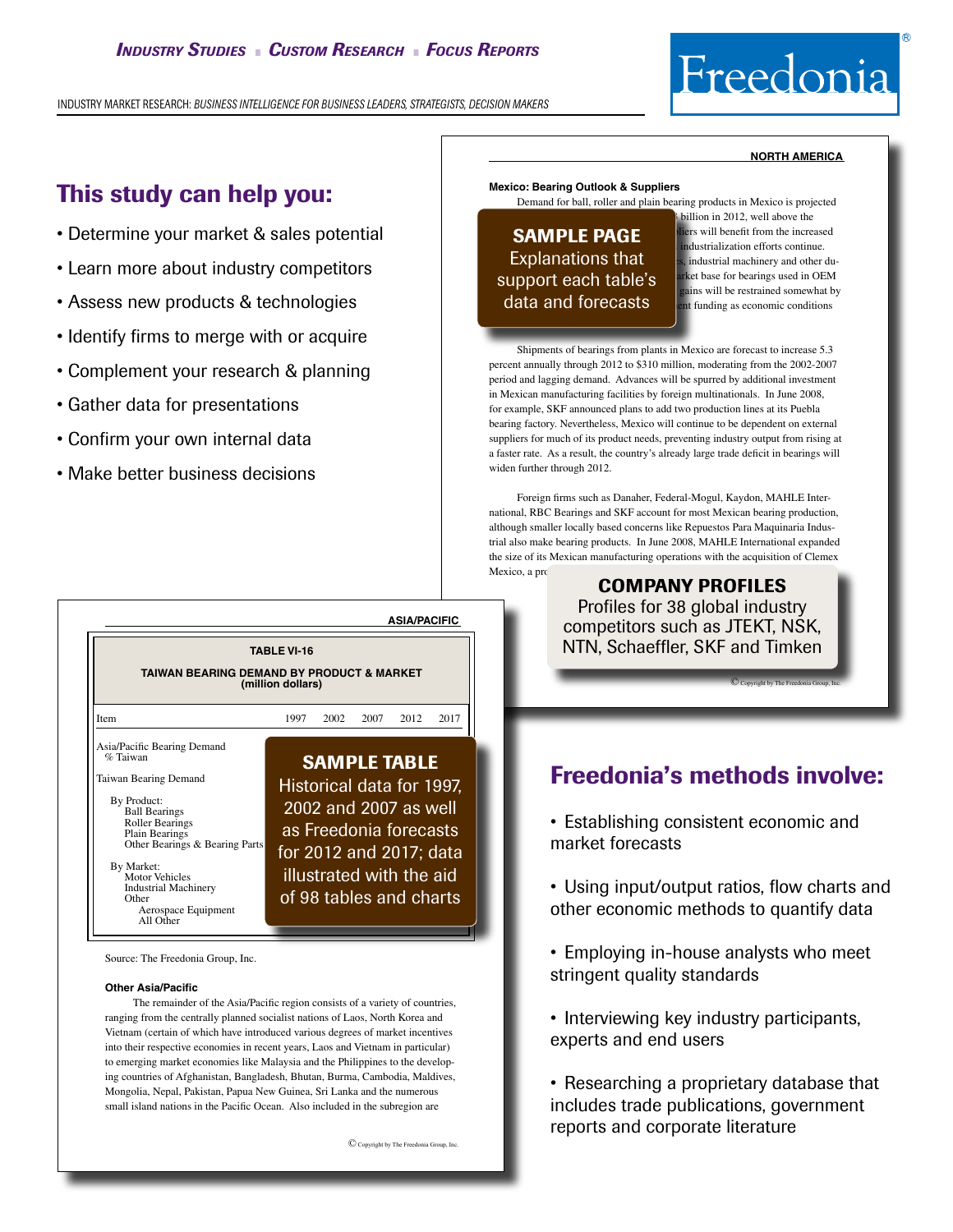INDUSTRY MARKET RESEARCH: *BUSINESS INTELLIGENCE FOR BUSINESS LEADERS, STRATEGISTS, DECISION MAKERS*

# Freedonia

## This study can help you:

- Determine your market & sales potential
- Learn more about industry competitors
- Assess new products & technologies
- Identify firms to merge with or acquire
- Complement your research & planning
- Gather data for presentations
- Confirm your own internal data
- Make better business decisions



Source: The Freedonia Group, Inc.

#### **Other Asia/Pacific**

 The remainder of the Asia/Pacific region consists of a variety of countries, ranging from the centrally planned socialist nations of Laos, North Korea and Vietnam (certain of which have introduced various degrees of market incentives into their respective economies in recent years, Laos and Vietnam in particular) to emerging market economies like Malaysia and the Philippines to the developing countries of Afghanistan, Bangladesh, Bhutan, Burma, Cambodia, Maldives, Mongolia, Nepal, Pakistan, Papua New Guinea, Sri Lanka and the numerous small island nations in the Pacific Ocean. Also included in the subregion are

© Copyright by The Freedonia Group, Inc.

#### **north america**

#### **Mexico: Bearing Outlook & Suppliers**

 Demand for ball, roller and plain bearing products in Mexico is projected

## **Explanations that**  $\frac{1}{25}$ , industrial machinery and other dusupport each table's arket base for bearings used in OEM data and forecasts

billion in 2012, well above the **SAMPLE PAGE Example 1** industrialization offerts continue dustrialization efforts continue. ains will be restrained somewhat by t funding as economic conditions

 Shipments of bearings from plants in Mexico are forecast to increase 5.3 percent annually through 2012 to \$310 million, moderating from the 2002-2007 period and lagging demand. Advances will be spurred by additional investment in Mexican manufacturing facilities by foreign multinationals. In June 2008, for example, SKF announced plans to add two production lines at its Puebla bearing factory. Nevertheless, Mexico will continue to be dependent on external suppliers for much of its product needs, preventing industry output from rising at a faster rate. As a result, the country's already large trade deficit in bearings will widen further through 2012.

 Foreign firms such as Danaher, Federal-Mogul, Kaydon, MAHLE International, RBC Bearings and SKF account for most Mexican bearing production, although smaller locally based concerns like Repuestos Para Maquinaria Industrial also make bearing products. In June 2008, MAHLE International expanded the size of its Mexican manufacturing operations with the acquisition of Clemex Mexico, a producer of automotive engine bearing the automotive engine bearing and available and available and a

COMPANY PROFILES Profiles for 38 global industry competitors such as JTEKT, NSK, NTN, Schaeffler, SKF and Timken

**C** Copyright by The Freedonia Group, Inc.

## Freedonia's methods involve:

• Establishing consistent economic and market forecasts

- Using input/output ratios, flow charts and other economic methods to quantify data
- Employing in-house analysts who meet stringent quality standards
- Interviewing key industry participants, experts and end users

• Researching a proprietary database that includes trade publications, government reports and corporate literature